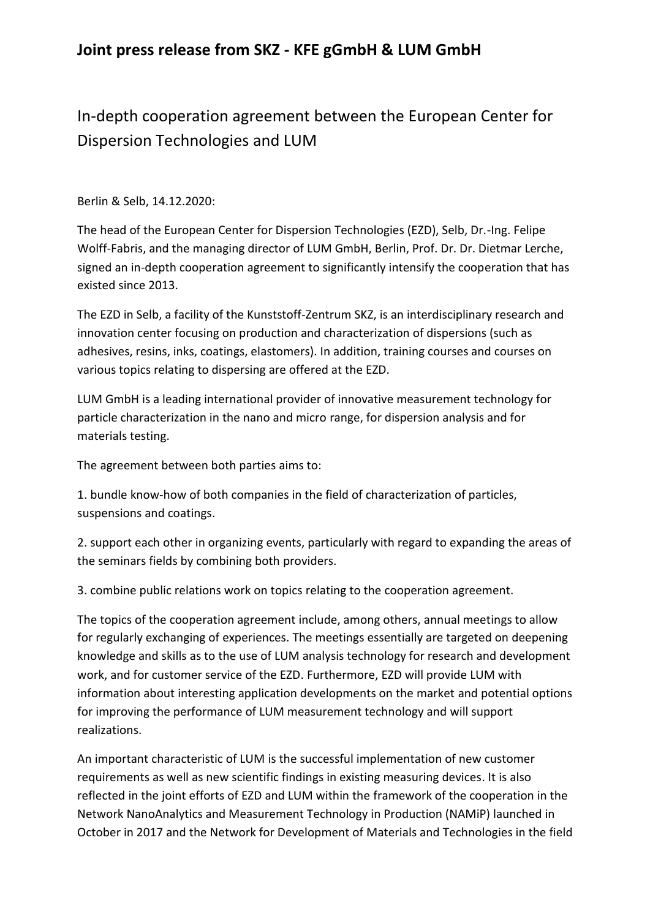## **Joint press release from SKZ - KFE gGmbH & LUM GmbH**

## In-depth cooperation agreement between the European Center for Dispersion Technologies and LUM

Berlin & Selb, 14.12.2020:

The head of the European Center for Dispersion Technologies (EZD), Selb, Dr.-Ing. Felipe Wolff-Fabris, and the managing director of LUM GmbH, Berlin, Prof. Dr. Dr. Dietmar Lerche, signed an in-depth cooperation agreement to significantly intensify the cooperation that has existed since 2013.

The EZD in Selb, a facility of the Kunststoff-Zentrum SKZ, is an interdisciplinary research and innovation center focusing on production and characterization of dispersions (such as adhesives, resins, inks, coatings, elastomers). In addition, training courses and courses on various topics relating to dispersing are offered at the EZD.

LUM GmbH is a leading international provider of innovative measurement technology for particle characterization in the nano and micro range, for dispersion analysis and for materials testing.

The agreement between both parties aims to:

1. bundle know-how of both companies in the field of characterization of particles, suspensions and coatings.

2. support each other in organizing events, particularly with regard to expanding the areas of the seminars fields by combining both providers.

3. combine public relations work on topics relating to the cooperation agreement.

The topics of the cooperation agreement include, among others, annual meetings to allow for regularly exchanging of experiences. The meetings essentially are targeted on deepening knowledge and skills as to the use of LUM analysis technology for research and development work, and for customer service of the EZD. Furthermore, EZD will provide LUM with information about interesting application developments on the market and potential options for improving the performance of LUM measurement technology and will support realizations.

An important characteristic of LUM is the successful implementation of new customer requirements as well as new scientific findings in existing measuring devices. It is also reflected in the joint efforts of EZD and LUM within the framework of the cooperation in the Network NanoAnalytics and Measurement Technology in Production (NAMiP) launched in October in 2017 and the Network for Development of Materials and Technologies in the field